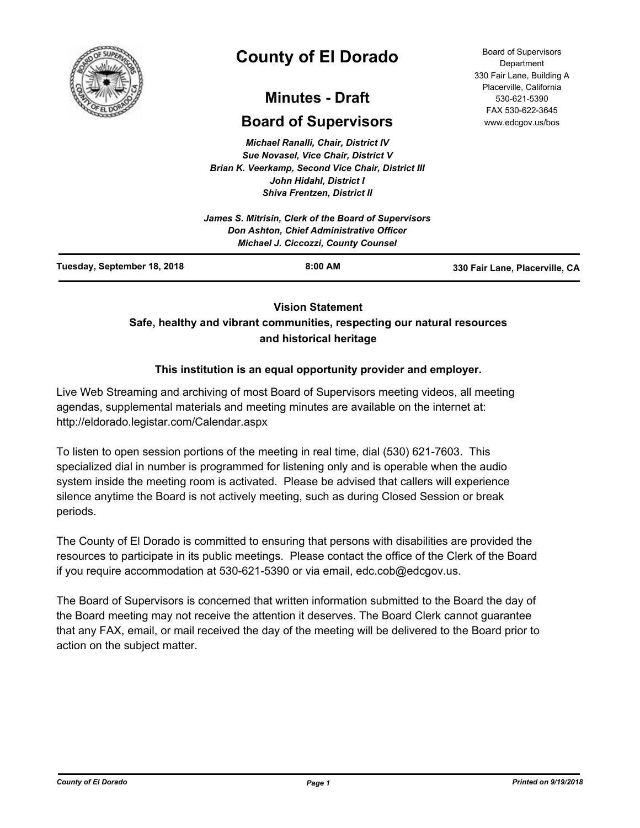

# **County of El Dorado**

## **Minutes - Draft**

## **Board of Supervisors**

*Michael Ranalli, Chair, District IV Sue Novasel, Vice Chair, District V Brian K. Veerkamp, Second Vice Chair, District III John Hidahl, District I Shiva Frentzen, District II*

| Tuesday, September 18, 2018 | $8:00$ AM                                                                              | 330 Fair Lane, Placerville, CA |
|-----------------------------|----------------------------------------------------------------------------------------|--------------------------------|
|                             | Don Ashton, Chief Administrative Officer<br><b>Michael J. Ciccozzi, County Counsel</b> |                                |
|                             | James S. Mitrisin, Clerk of the Board of Supervisors                                   |                                |

### **Vision Statement**

## **Safe, healthy and vibrant communities, respecting our natural resources and historical heritage**

## **This institution is an equal opportunity provider and employer.**

Live Web Streaming and archiving of most Board of Supervisors meeting videos, all meeting agendas, supplemental materials and meeting minutes are available on the internet at: http://eldorado.legistar.com/Calendar.aspx

To listen to open session portions of the meeting in real time, dial (530) 621-7603. This specialized dial in number is programmed for listening only and is operable when the audio system inside the meeting room is activated. Please be advised that callers will experience silence anytime the Board is not actively meeting, such as during Closed Session or break periods.

The County of El Dorado is committed to ensuring that persons with disabilities are provided the resources to participate in its public meetings. Please contact the office of the Clerk of the Board if you require accommodation at 530-621-5390 or via email, edc.cob@edcgov.us.

The Board of Supervisors is concerned that written information submitted to the Board the day of the Board meeting may not receive the attention it deserves. The Board Clerk cannot guarantee that any FAX, email, or mail received the day of the meeting will be delivered to the Board prior to action on the subject matter.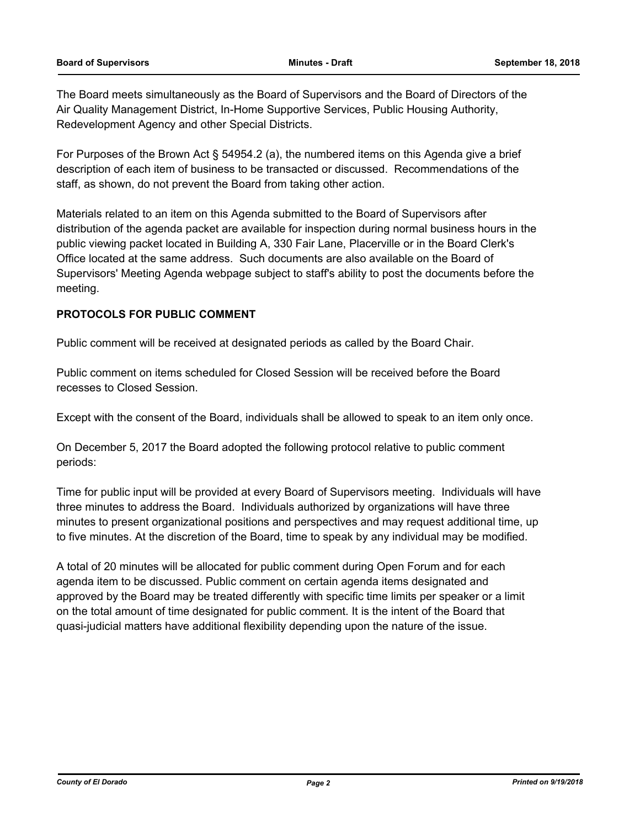The Board meets simultaneously as the Board of Supervisors and the Board of Directors of the Air Quality Management District, In-Home Supportive Services, Public Housing Authority, Redevelopment Agency and other Special Districts.

For Purposes of the Brown Act § 54954.2 (a), the numbered items on this Agenda give a brief description of each item of business to be transacted or discussed. Recommendations of the staff, as shown, do not prevent the Board from taking other action.

Materials related to an item on this Agenda submitted to the Board of Supervisors after distribution of the agenda packet are available for inspection during normal business hours in the public viewing packet located in Building A, 330 Fair Lane, Placerville or in the Board Clerk's Office located at the same address. Such documents are also available on the Board of Supervisors' Meeting Agenda webpage subject to staff's ability to post the documents before the meeting.

#### **PROTOCOLS FOR PUBLIC COMMENT**

Public comment will be received at designated periods as called by the Board Chair.

Public comment on items scheduled for Closed Session will be received before the Board recesses to Closed Session.

Except with the consent of the Board, individuals shall be allowed to speak to an item only once.

On December 5, 2017 the Board adopted the following protocol relative to public comment periods:

Time for public input will be provided at every Board of Supervisors meeting. Individuals will have three minutes to address the Board. Individuals authorized by organizations will have three minutes to present organizational positions and perspectives and may request additional time, up to five minutes. At the discretion of the Board, time to speak by any individual may be modified.

A total of 20 minutes will be allocated for public comment during Open Forum and for each agenda item to be discussed. Public comment on certain agenda items designated and approved by the Board may be treated differently with specific time limits per speaker or a limit on the total amount of time designated for public comment. It is the intent of the Board that quasi-judicial matters have additional flexibility depending upon the nature of the issue.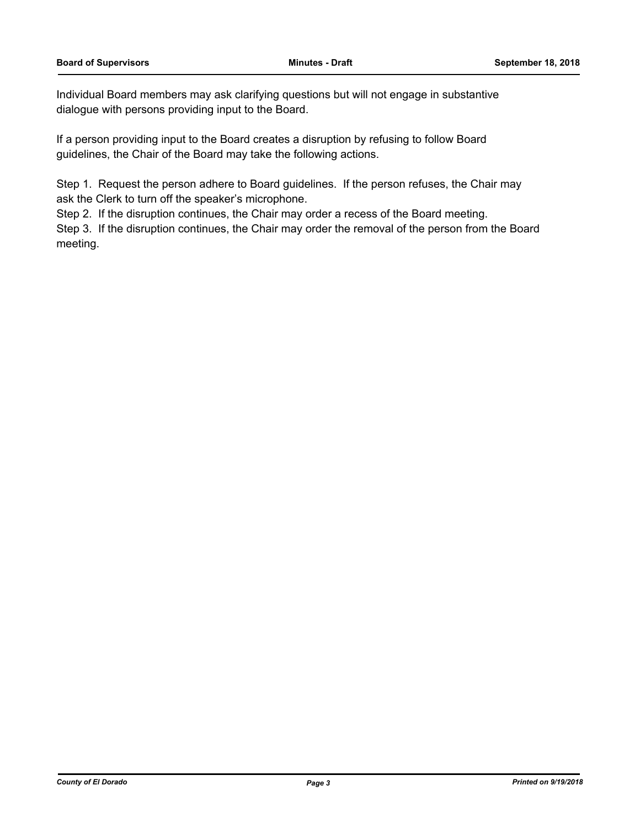Individual Board members may ask clarifying questions but will not engage in substantive dialogue with persons providing input to the Board.

If a person providing input to the Board creates a disruption by refusing to follow Board guidelines, the Chair of the Board may take the following actions.

Step 1. Request the person adhere to Board guidelines. If the person refuses, the Chair may ask the Clerk to turn off the speaker's microphone.

Step 2. If the disruption continues, the Chair may order a recess of the Board meeting.

Step 3. If the disruption continues, the Chair may order the removal of the person from the Board meeting.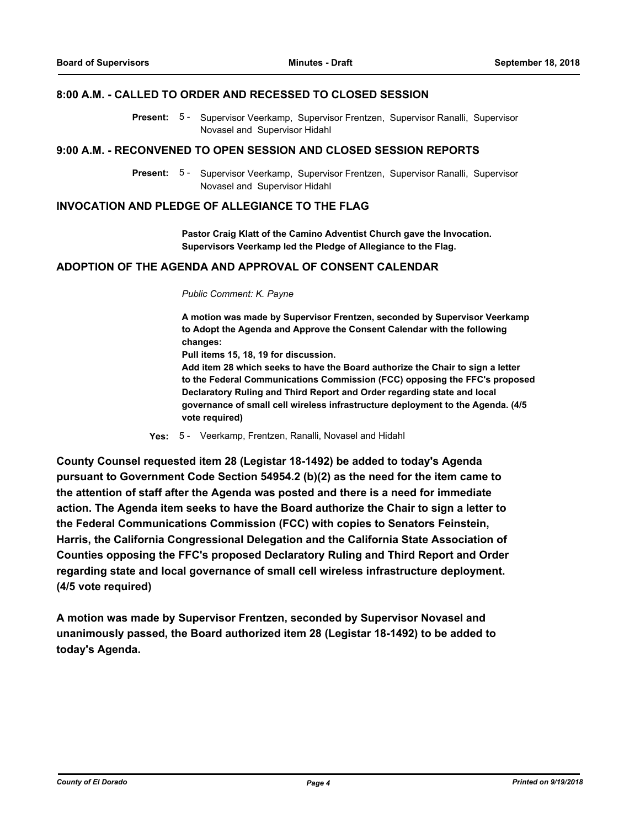#### **8:00 A.M. - CALLED TO ORDER AND RECESSED TO CLOSED SESSION**

Present: 5 - Supervisor Veerkamp, Supervisor Frentzen, Supervisor Ranalli, Supervisor Novasel and Supervisor Hidahl

#### **9:00 A.M. - RECONVENED TO OPEN SESSION AND CLOSED SESSION REPORTS**

Present: 5 - Supervisor Veerkamp, Supervisor Frentzen, Supervisor Ranalli, Supervisor Novasel and Supervisor Hidahl

#### **INVOCATION AND PLEDGE OF ALLEGIANCE TO THE FLAG**

**Pastor Craig Klatt of the Camino Adventist Church gave the Invocation. Supervisors Veerkamp led the Pledge of Allegiance to the Flag.**

## **ADOPTION OF THE AGENDA AND APPROVAL OF CONSENT CALENDAR**

#### *Public Comment: K. Payne*

**A motion was made by Supervisor Frentzen, seconded by Supervisor Veerkamp to Adopt the Agenda and Approve the Consent Calendar with the following changes:**

**Pull items 15, 18, 19 for discussion.**

**Add item 28 which seeks to have the Board authorize the Chair to sign a letter to the Federal Communications Commission (FCC) opposing the FFC's proposed Declaratory Ruling and Third Report and Order regarding state and local governance of small cell wireless infrastructure deployment to the Agenda. (4/5 vote required)**

**Yes:** 5 - Veerkamp, Frentzen, Ranalli, Novasel and Hidahl

**County Counsel requested item 28 (Legistar 18-1492) be added to today's Agenda pursuant to Government Code Section 54954.2 (b)(2) as the need for the item came to the attention of staff after the Agenda was posted and there is a need for immediate action. The Agenda item seeks to have the Board authorize the Chair to sign a letter to the Federal Communications Commission (FCC) with copies to Senators Feinstein, Harris, the California Congressional Delegation and the California State Association of Counties opposing the FFC's proposed Declaratory Ruling and Third Report and Order regarding state and local governance of small cell wireless infrastructure deployment. (4/5 vote required)**

**A motion was made by Supervisor Frentzen, seconded by Supervisor Novasel and unanimously passed, the Board authorized item 28 (Legistar 18-1492) to be added to today's Agenda.**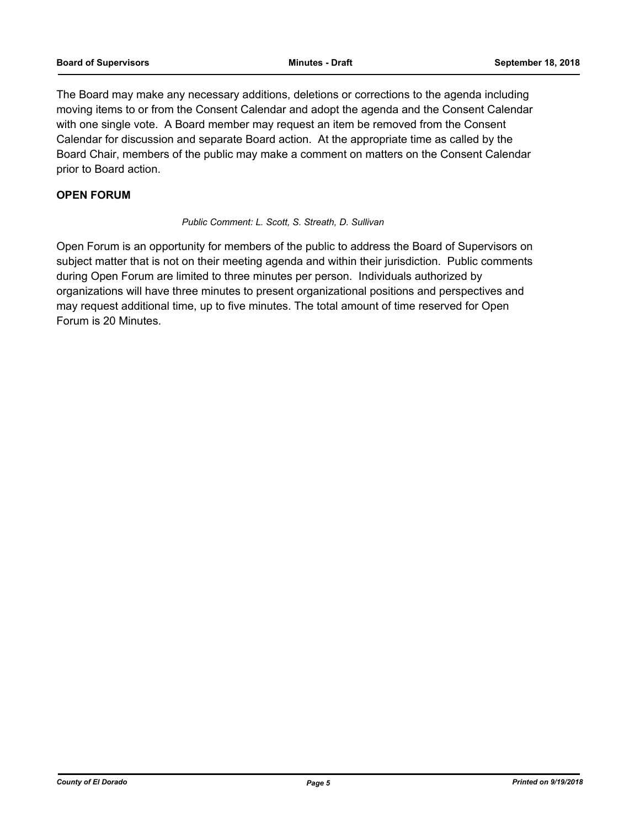The Board may make any necessary additions, deletions or corrections to the agenda including moving items to or from the Consent Calendar and adopt the agenda and the Consent Calendar with one single vote. A Board member may request an item be removed from the Consent Calendar for discussion and separate Board action. At the appropriate time as called by the Board Chair, members of the public may make a comment on matters on the Consent Calendar prior to Board action.

#### **OPEN FORUM**

#### *Public Comment: L. Scott, S. Streath, D. Sullivan*

Open Forum is an opportunity for members of the public to address the Board of Supervisors on subject matter that is not on their meeting agenda and within their jurisdiction. Public comments during Open Forum are limited to three minutes per person. Individuals authorized by organizations will have three minutes to present organizational positions and perspectives and may request additional time, up to five minutes. The total amount of time reserved for Open Forum is 20 Minutes.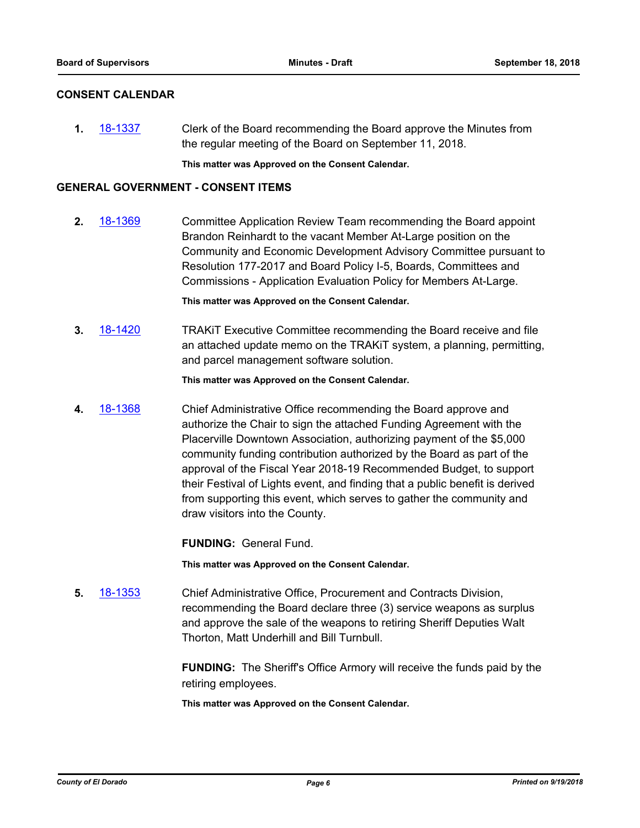#### **CONSENT CALENDAR**

**1.** [18-1337](http://eldorado.legistar.com/gateway.aspx?m=l&id=/matter.aspx?key=24688) Clerk of the Board recommending the Board approve the Minutes from the regular meeting of the Board on September 11, 2018.

**This matter was Approved on the Consent Calendar.**

#### **GENERAL GOVERNMENT - CONSENT ITEMS**

**2.** [18-1369](http://eldorado.legistar.com/gateway.aspx?m=l&id=/matter.aspx?key=24721) Committee Application Review Team recommending the Board appoint Brandon Reinhardt to the vacant Member At-Large position on the Community and Economic Development Advisory Committee pursuant to Resolution 177-2017 and Board Policy I-5, Boards, Committees and Commissions - Application Evaluation Policy for Members At-Large.

**This matter was Approved on the Consent Calendar.**

**3.** [18-1420](http://eldorado.legistar.com/gateway.aspx?m=l&id=/matter.aspx?key=24772) TRAKiT Executive Committee recommending the Board receive and file an attached update memo on the TRAKiT system, a planning, permitting, and parcel management software solution.

**This matter was Approved on the Consent Calendar.**

**4.** [18-1368](http://eldorado.legistar.com/gateway.aspx?m=l&id=/matter.aspx?key=24720) Chief Administrative Office recommending the Board approve and authorize the Chair to sign the attached Funding Agreement with the Placerville Downtown Association, authorizing payment of the \$5,000 community funding contribution authorized by the Board as part of the approval of the Fiscal Year 2018-19 Recommended Budget, to support their Festival of Lights event, and finding that a public benefit is derived from supporting this event, which serves to gather the community and draw visitors into the County.

**FUNDING:** General Fund.

**This matter was Approved on the Consent Calendar.**

**5.** [18-1353](http://eldorado.legistar.com/gateway.aspx?m=l&id=/matter.aspx?key=24705) Chief Administrative Office, Procurement and Contracts Division, recommending the Board declare three (3) service weapons as surplus and approve the sale of the weapons to retiring Sheriff Deputies Walt Thorton, Matt Underhill and Bill Turnbull.

> **FUNDING:** The Sheriff's Office Armory will receive the funds paid by the retiring employees.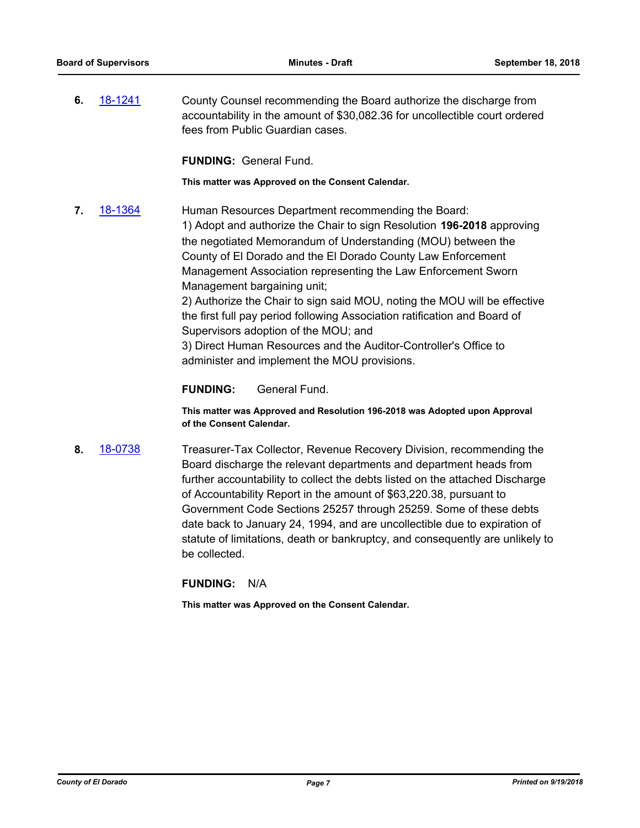**6.** [18-1241](http://eldorado.legistar.com/gateway.aspx?m=l&id=/matter.aspx?key=24592) County Counsel recommending the Board authorize the discharge from accountability in the amount of \$30,082.36 for uncollectible court ordered fees from Public Guardian cases.

**FUNDING:** General Fund.

**This matter was Approved on the Consent Calendar.**

**7.** [18-1364](http://eldorado.legistar.com/gateway.aspx?m=l&id=/matter.aspx?key=24716) Human Resources Department recommending the Board: 1) Adopt and authorize the Chair to sign Resolution **196-2018** approving the negotiated Memorandum of Understanding (MOU) between the County of El Dorado and the El Dorado County Law Enforcement Management Association representing the Law Enforcement Sworn Management bargaining unit; 2) Authorize the Chair to sign said MOU, noting the MOU will be effective the first full pay period following Association ratification and Board of Supervisors adoption of the MOU; and

3) Direct Human Resources and the Auditor-Controller's Office to administer and implement the MOU provisions.

**FUNDING:** General Fund.

**This matter was Approved and Resolution 196-2018 was Adopted upon Approval of the Consent Calendar.**

**8.** [18-0738](http://eldorado.legistar.com/gateway.aspx?m=l&id=/matter.aspx?key=24085) Treasurer-Tax Collector, Revenue Recovery Division, recommending the Board discharge the relevant departments and department heads from further accountability to collect the debts listed on the attached Discharge of Accountability Report in the amount of \$63,220.38, pursuant to Government Code Sections 25257 through 25259. Some of these debts date back to January 24, 1994, and are uncollectible due to expiration of statute of limitations, death or bankruptcy, and consequently are unlikely to be collected.

**FUNDING:** N/A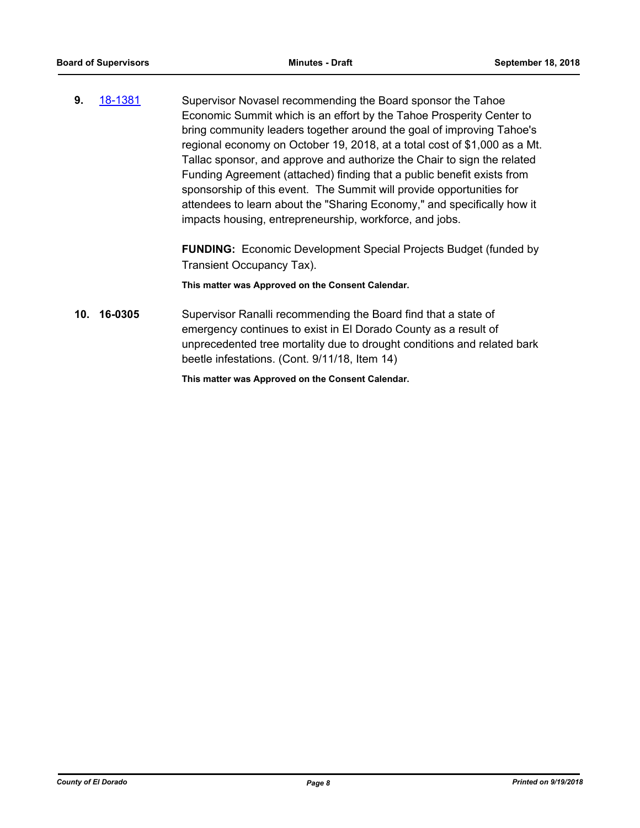**9.** [18-1381](http://eldorado.legistar.com/gateway.aspx?m=l&id=/matter.aspx?key=24733) Supervisor Novasel recommending the Board sponsor the Tahoe Economic Summit which is an effort by the Tahoe Prosperity Center to bring community leaders together around the goal of improving Tahoe's regional economy on October 19, 2018, at a total cost of \$1,000 as a Mt. Tallac sponsor, and approve and authorize the Chair to sign the related Funding Agreement (attached) finding that a public benefit exists from sponsorship of this event. The Summit will provide opportunities for attendees to learn about the "Sharing Economy," and specifically how it impacts housing, entrepreneurship, workforce, and jobs.

> **FUNDING:** Economic Development Special Projects Budget (funded by Transient Occupancy Tax).

**This matter was Approved on the Consent Calendar.**

**10. 16-0305** Supervisor Ranalli recommending the Board find that a state of emergency continues to exist in El Dorado County as a result of unprecedented tree mortality due to drought conditions and related bark beetle infestations. (Cont. 9/11/18, Item 14)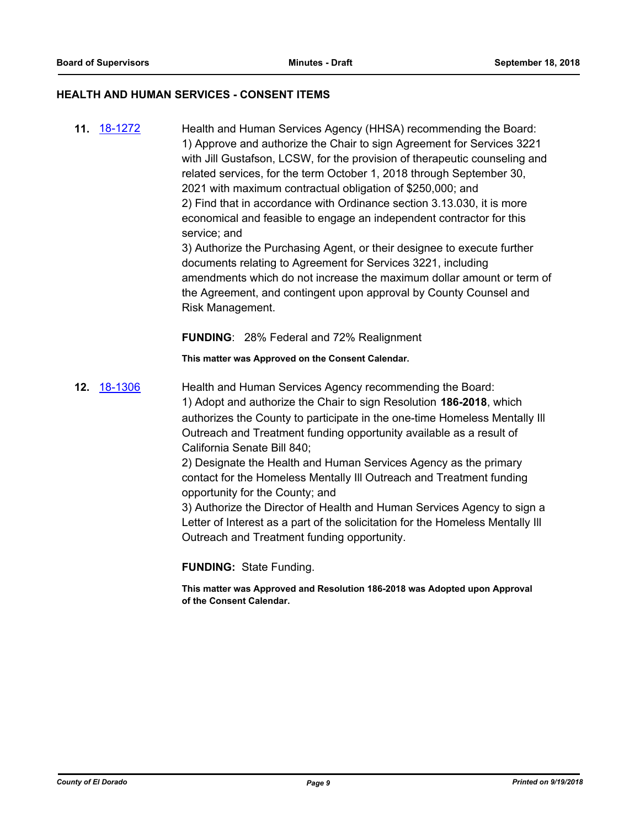#### **HEALTH AND HUMAN SERVICES - CONSENT ITEMS**

**11.** [18-1272](http://eldorado.legistar.com/gateway.aspx?m=l&id=/matter.aspx?key=24623) Health and Human Services Agency (HHSA) recommending the Board: 1) Approve and authorize the Chair to sign Agreement for Services 3221 with Jill Gustafson, LCSW, for the provision of therapeutic counseling and related services, for the term October 1, 2018 through September 30, 2021 with maximum contractual obligation of \$250,000; and 2) Find that in accordance with Ordinance section 3.13.030, it is more economical and feasible to engage an independent contractor for this service; and 3) Authorize the Purchasing Agent, or their designee to execute further documents relating to Agreement for Services 3221, including amendments which do not increase the maximum dollar amount or term of the Agreement, and contingent upon approval by County Counsel and

**FUNDING**: 28% Federal and 72% Realignment

**This matter was Approved on the Consent Calendar.**

**12.** [18-1306](http://eldorado.legistar.com/gateway.aspx?m=l&id=/matter.aspx?key=24657) Health and Human Services Agency recommending the Board: 1) Adopt and authorize the Chair to sign Resolution **186-2018**, which authorizes the County to participate in the one-time Homeless Mentally Ill Outreach and Treatment funding opportunity available as a result of California Senate Bill 840;

2) Designate the Health and Human Services Agency as the primary contact for the Homeless Mentally Ill Outreach and Treatment funding opportunity for the County; and

3) Authorize the Director of Health and Human Services Agency to sign a Letter of Interest as a part of the solicitation for the Homeless Mentally Ill Outreach and Treatment funding opportunity.

**FUNDING:** State Funding.

Risk Management.

**This matter was Approved and Resolution 186-2018 was Adopted upon Approval of the Consent Calendar.**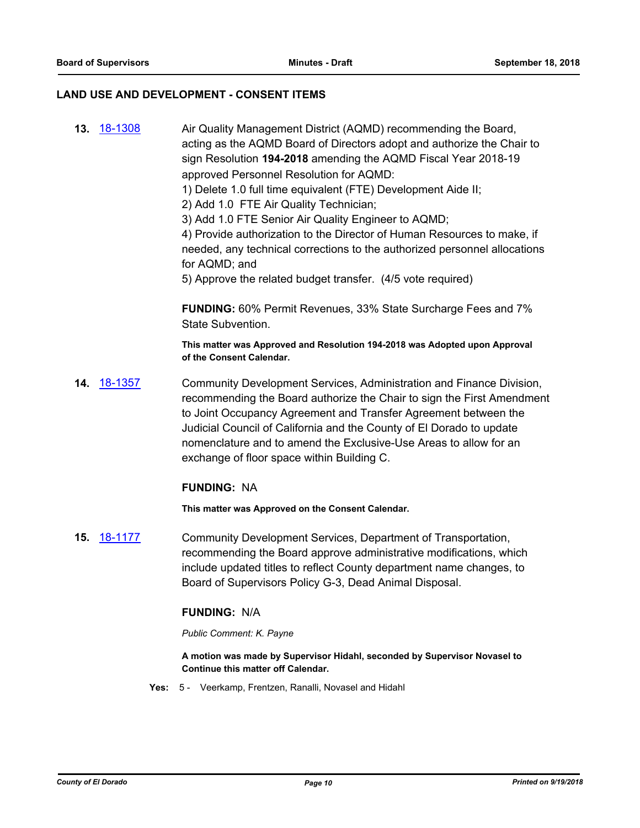#### **LAND USE AND DEVELOPMENT - CONSENT ITEMS**

**13.** [18-1308](http://eldorado.legistar.com/gateway.aspx?m=l&id=/matter.aspx?key=24659) Air Quality Management District (AQMD) recommending the Board, acting as the AQMD Board of Directors adopt and authorize the Chair to sign Resolution **194-2018** amending the AQMD Fiscal Year 2018-19 approved Personnel Resolution for AQMD: 1) Delete 1.0 full time equivalent (FTE) Development Aide II; 2) Add 1.0 FTE Air Quality Technician; 3) Add 1.0 FTE Senior Air Quality Engineer to AQMD; 4) Provide authorization to the Director of Human Resources to make, if needed, any technical corrections to the authorized personnel allocations for AQMD; and 5) Approve the related budget transfer. (4/5 vote required) **FUNDING:** 60% Permit Revenues, 33% State Surcharge Fees and 7% State Subvention. **This matter was Approved and Resolution 194-2018 was Adopted upon Approval of the Consent Calendar. 14.** [18-1357](http://eldorado.legistar.com/gateway.aspx?m=l&id=/matter.aspx?key=24709) Community Development Services, Administration and Finance Division, recommending the Board authorize the Chair to sign the First Amendment to Joint Occupancy Agreement and Transfer Agreement between the Judicial Council of California and the County of El Dorado to update nomenclature and to amend the Exclusive-Use Areas to allow for an exchange of floor space within Building C. **FUNDING:** NA **This matter was Approved on the Consent Calendar. 15.** [18-1177](http://eldorado.legistar.com/gateway.aspx?m=l&id=/matter.aspx?key=24527) Community Development Services, Department of Transportation, recommending the Board approve administrative modifications, which include updated titles to reflect County department name changes, to Board of Supervisors Policy G-3, Dead Animal Disposal. **FUNDING:** N/A *Public Comment: K. Payne* **A motion was made by Supervisor Hidahl, seconded by Supervisor Novasel to** 

> **Continue this matter off Calendar. Yes:** 5 - Veerkamp, Frentzen, Ranalli, Novasel and Hidahl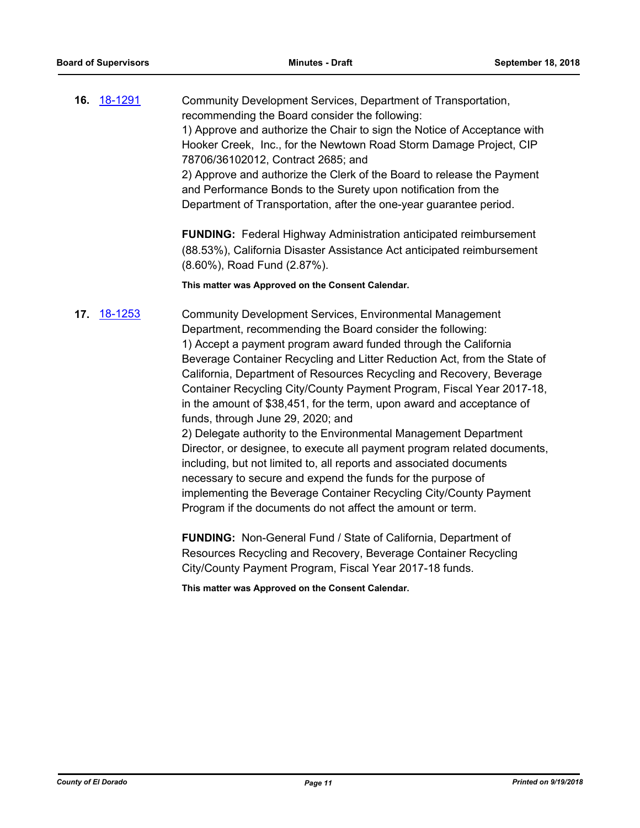**16.** [18-1291](http://eldorado.legistar.com/gateway.aspx?m=l&id=/matter.aspx?key=24642) Community Development Services, Department of Transportation, recommending the Board consider the following: 1) Approve and authorize the Chair to sign the Notice of Acceptance with Hooker Creek, Inc., for the Newtown Road Storm Damage Project, CIP 78706/36102012, Contract 2685; and 2) Approve and authorize the Clerk of the Board to release the Payment and Performance Bonds to the Surety upon notification from the Department of Transportation, after the one-year guarantee period.

> **FUNDING:** Federal Highway Administration anticipated reimbursement (88.53%), California Disaster Assistance Act anticipated reimbursement (8.60%), Road Fund (2.87%).

**This matter was Approved on the Consent Calendar.**

**17.** [18-1253](http://eldorado.legistar.com/gateway.aspx?m=l&id=/matter.aspx?key=24604) Community Development Services, Environmental Management Department, recommending the Board consider the following: 1) Accept a payment program award funded through the California Beverage Container Recycling and Litter Reduction Act, from the State of California, Department of Resources Recycling and Recovery, Beverage Container Recycling City/County Payment Program, Fiscal Year 2017-18, in the amount of \$38,451, for the term, upon award and acceptance of funds, through June 29, 2020; and

2) Delegate authority to the Environmental Management Department Director, or designee, to execute all payment program related documents, including, but not limited to, all reports and associated documents necessary to secure and expend the funds for the purpose of implementing the Beverage Container Recycling City/County Payment Program if the documents do not affect the amount or term.

**FUNDING:** Non-General Fund / State of California, Department of Resources Recycling and Recovery, Beverage Container Recycling City/County Payment Program, Fiscal Year 2017-18 funds.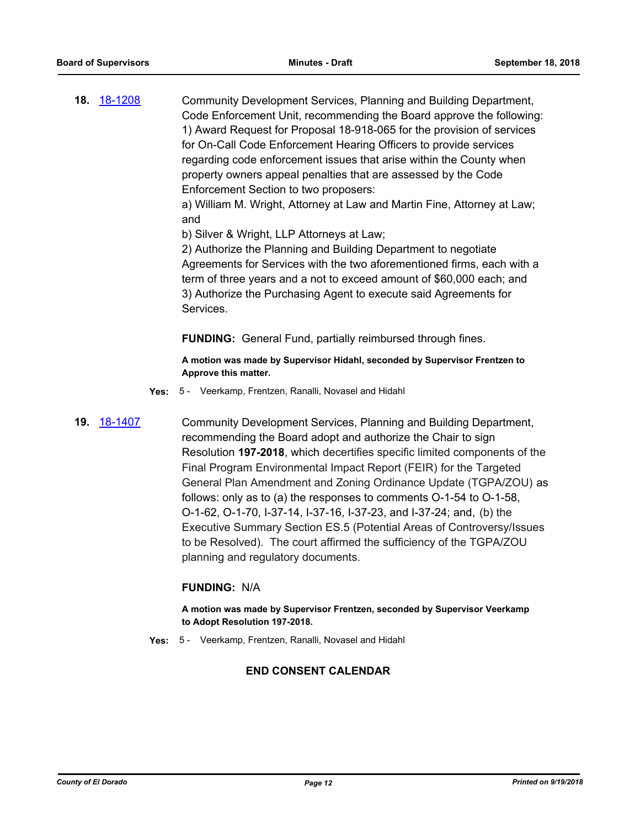**18.** [18-1208](http://eldorado.legistar.com/gateway.aspx?m=l&id=/matter.aspx?key=24559) Community Development Services, Planning and Building Department, Code Enforcement Unit, recommending the Board approve the following: 1) Award Request for Proposal 18-918-065 for the provision of services for On-Call Code Enforcement Hearing Officers to provide services regarding code enforcement issues that arise within the County when property owners appeal penalties that are assessed by the Code Enforcement Section to two proposers:

> a) William M. Wright, Attorney at Law and Martin Fine, Attorney at Law; and

b) Silver & Wright, LLP Attorneys at Law;

2) Authorize the Planning and Building Department to negotiate Agreements for Services with the two aforementioned firms, each with a term of three years and a not to exceed amount of \$60,000 each; and 3) Authorize the Purchasing Agent to execute said Agreements for Services.

**FUNDING:** General Fund, partially reimbursed through fines.

**A motion was made by Supervisor Hidahl, seconded by Supervisor Frentzen to Approve this matter.**

- **Yes:** 5 Veerkamp, Frentzen, Ranalli, Novasel and Hidahl
- 

**19.** [18-1407](http://eldorado.legistar.com/gateway.aspx?m=l&id=/matter.aspx?key=24759) Community Development Services, Planning and Building Department, recommending the Board adopt and authorize the Chair to sign Resolution **197-2018**, which decertifies specific limited components of the Final Program Environmental Impact Report (FEIR) for the Targeted General Plan Amendment and Zoning Ordinance Update (TGPA/ZOU) as follows: only as to (a) the responses to comments O-1-54 to O-1-58, O-1-62, O-1-70, I-37-14, I-37-16, I-37-23, and I-37-24; and, (b) the Executive Summary Section ES.5 (Potential Areas of Controversy/Issues to be Resolved). The court affirmed the sufficiency of the TGPA/ZOU planning and regulatory documents.

#### **FUNDING:** N/A

**A motion was made by Supervisor Frentzen, seconded by Supervisor Veerkamp to Adopt Resolution 197-2018.**

**Yes:** 5 - Veerkamp, Frentzen, Ranalli, Novasel and Hidahl

#### **END CONSENT CALENDAR**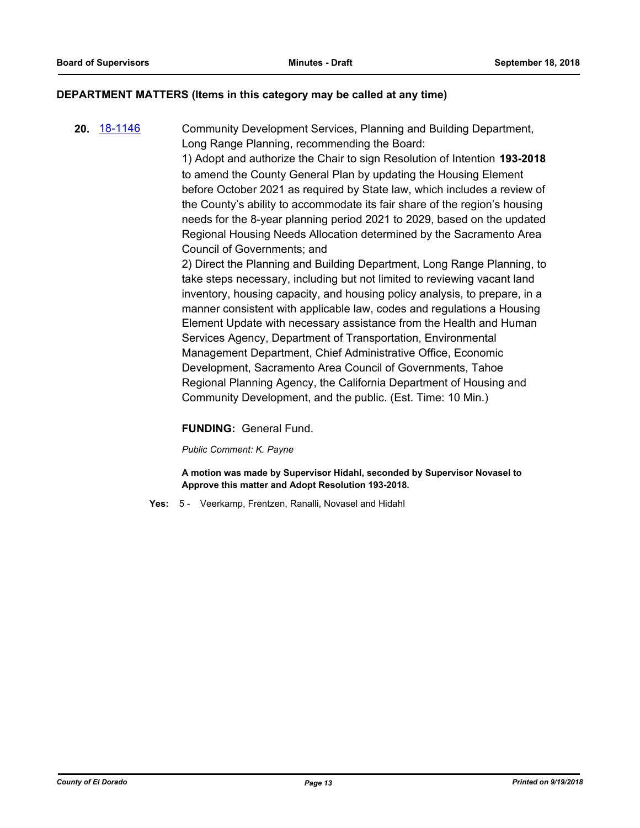#### **DEPARTMENT MATTERS (Items in this category may be called at any time)**

**20.** [18-1146](http://eldorado.legistar.com/gateway.aspx?m=l&id=/matter.aspx?key=24496) Community Development Services, Planning and Building Department, Long Range Planning, recommending the Board:

> 1) Adopt and authorize the Chair to sign Resolution of Intention **193-2018**  to amend the County General Plan by updating the Housing Element before October 2021 as required by State law, which includes a review of the County's ability to accommodate its fair share of the region's housing needs for the 8-year planning period 2021 to 2029, based on the updated Regional Housing Needs Allocation determined by the Sacramento Area Council of Governments; and

> 2) Direct the Planning and Building Department, Long Range Planning, to take steps necessary, including but not limited to reviewing vacant land inventory, housing capacity, and housing policy analysis, to prepare, in a manner consistent with applicable law, codes and regulations a Housing Element Update with necessary assistance from the Health and Human Services Agency, Department of Transportation, Environmental Management Department, Chief Administrative Office, Economic Development, Sacramento Area Council of Governments, Tahoe Regional Planning Agency, the California Department of Housing and Community Development, and the public. (Est. Time: 10 Min.)

#### **FUNDING:** General Fund.

*Public Comment: K. Payne*

**A motion was made by Supervisor Hidahl, seconded by Supervisor Novasel to Approve this matter and Adopt Resolution 193-2018.**

**Yes:** 5 - Veerkamp, Frentzen, Ranalli, Novasel and Hidahl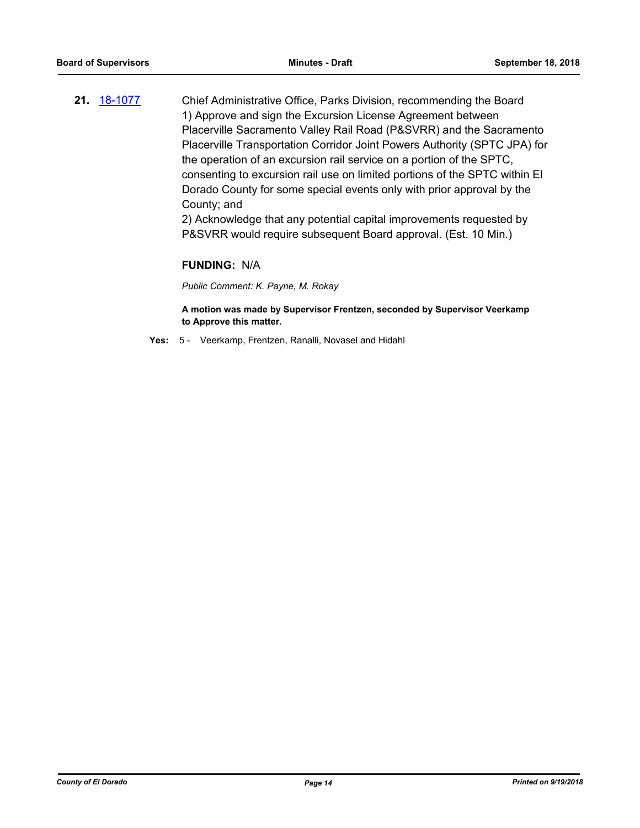**21.** [18-1077](http://eldorado.legistar.com/gateway.aspx?m=l&id=/matter.aspx?key=24427) Chief Administrative Office, Parks Division, recommending the Board 1) Approve and sign the Excursion License Agreement between Placerville Sacramento Valley Rail Road (P&SVRR) and the Sacramento Placerville Transportation Corridor Joint Powers Authority (SPTC JPA) for the operation of an excursion rail service on a portion of the SPTC, consenting to excursion rail use on limited portions of the SPTC within El Dorado County for some special events only with prior approval by the County; and

> 2) Acknowledge that any potential capital improvements requested by P&SVRR would require subsequent Board approval. (Est. 10 Min.)

#### **FUNDING:** N/A

*Public Comment: K. Payne, M. Rokay*

**A motion was made by Supervisor Frentzen, seconded by Supervisor Veerkamp to Approve this matter.**

**Yes:** 5 - Veerkamp, Frentzen, Ranalli, Novasel and Hidahl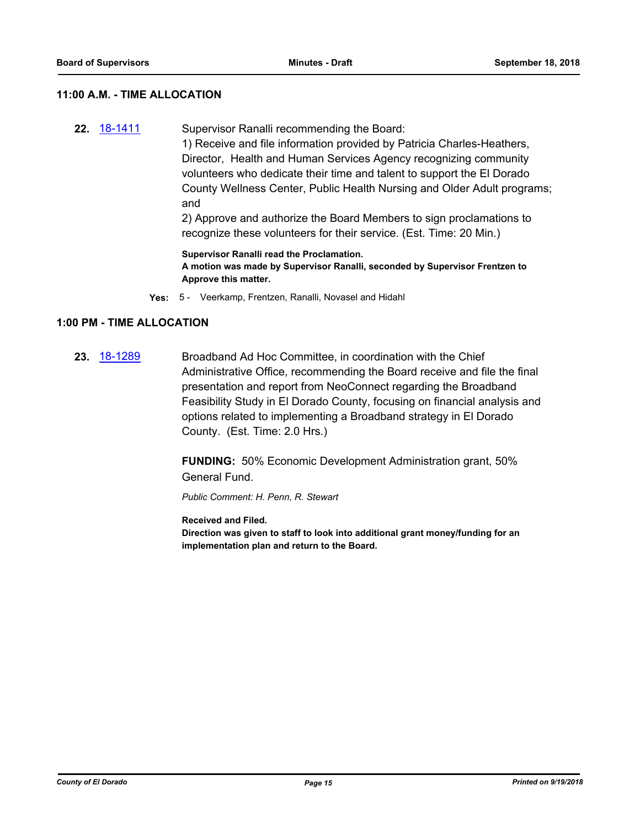#### **11:00 A.M. - TIME ALLOCATION**

**22.** [18-1411](http://eldorado.legistar.com/gateway.aspx?m=l&id=/matter.aspx?key=24763) Supervisor Ranalli recommending the Board: 1) Receive and file information provided by Patricia Charles-Heathers, Director, Health and Human Services Agency recognizing community volunteers who dedicate their time and talent to support the El Dorado County Wellness Center, Public Health Nursing and Older Adult programs; and 2) Approve and authorize the Board Members to sign proclamations to recognize these volunteers for their service. (Est. Time: 20 Min.)

> **Supervisor Ranalli read the Proclamation. A motion was made by Supervisor Ranalli, seconded by Supervisor Frentzen to Approve this matter.**

**Yes:** 5 - Veerkamp, Frentzen, Ranalli, Novasel and Hidahl

#### **1:00 PM - TIME ALLOCATION**

**23.** [18-1289](http://eldorado.legistar.com/gateway.aspx?m=l&id=/matter.aspx?key=24640) Broadband Ad Hoc Committee, in coordination with the Chief Administrative Office, recommending the Board receive and file the final presentation and report from NeoConnect regarding the Broadband Feasibility Study in El Dorado County, focusing on financial analysis and options related to implementing a Broadband strategy in El Dorado County. (Est. Time: 2.0 Hrs.)

> **FUNDING:** 50% Economic Development Administration grant, 50% General Fund.

*Public Comment: H. Penn, R. Stewart*

**Received and Filed. Direction was given to staff to look into additional grant money/funding for an implementation plan and return to the Board.**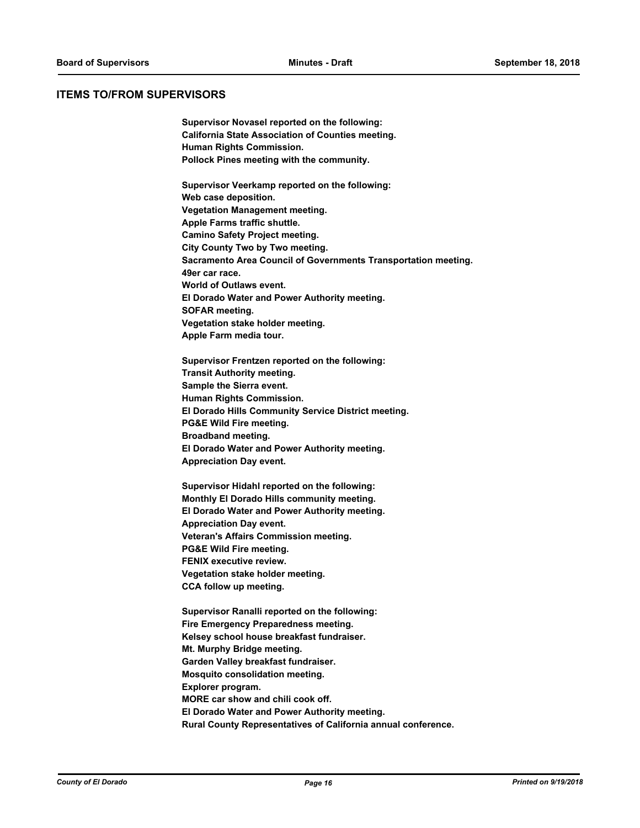#### **ITEMS TO/FROM SUPERVISORS**

**Supervisor Novasel reported on the following: California State Association of Counties meeting. Human Rights Commission. Pollock Pines meeting with the community.**

**Supervisor Veerkamp reported on the following: Web case deposition. Vegetation Management meeting. Apple Farms traffic shuttle. Camino Safety Project meeting. City County Two by Two meeting. Sacramento Area Council of Governments Transportation meeting. 49er car race. World of Outlaws event. El Dorado Water and Power Authority meeting. SOFAR meeting. Vegetation stake holder meeting. Apple Farm media tour.**

**Supervisor Frentzen reported on the following: Transit Authority meeting. Sample the Sierra event. Human Rights Commission. El Dorado Hills Community Service District meeting. PG&E Wild Fire meeting. Broadband meeting. El Dorado Water and Power Authority meeting. Appreciation Day event.**

**Supervisor Hidahl reported on the following: Monthly El Dorado Hills community meeting. El Dorado Water and Power Authority meeting. Appreciation Day event. Veteran's Affairs Commission meeting. PG&E Wild Fire meeting. FENIX executive review. Vegetation stake holder meeting. CCA follow up meeting.**

**Supervisor Ranalli reported on the following: Fire Emergency Preparedness meeting. Kelsey school house breakfast fundraiser. Mt. Murphy Bridge meeting. Garden Valley breakfast fundraiser. Mosquito consolidation meeting. Explorer program. MORE car show and chili cook off. El Dorado Water and Power Authority meeting. Rural County Representatives of California annual conference.**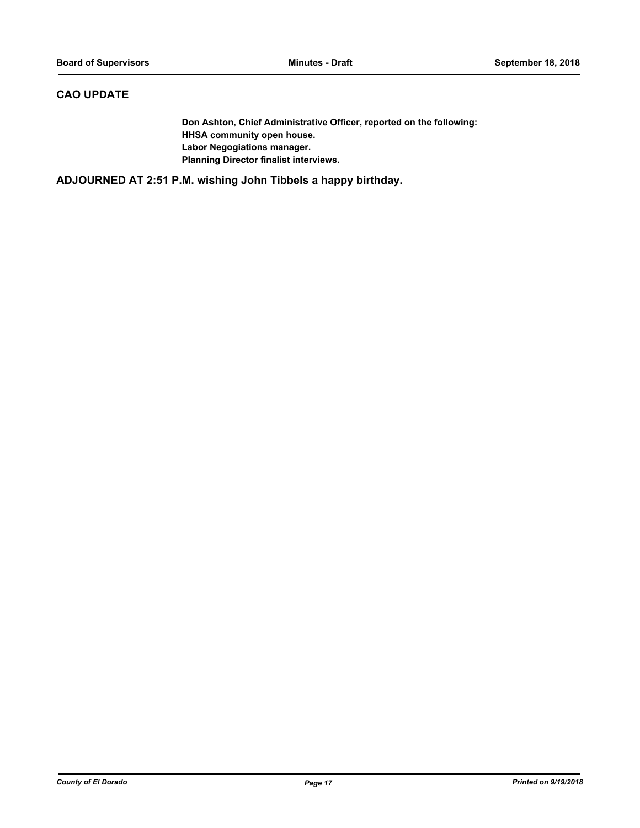### **CAO UPDATE**

**Don Ashton, Chief Administrative Officer, reported on the following: HHSA community open house. Labor Negogiations manager. Planning Director finalist interviews.**

**ADJOURNED AT 2:51 P.M. wishing John Tibbels a happy birthday.**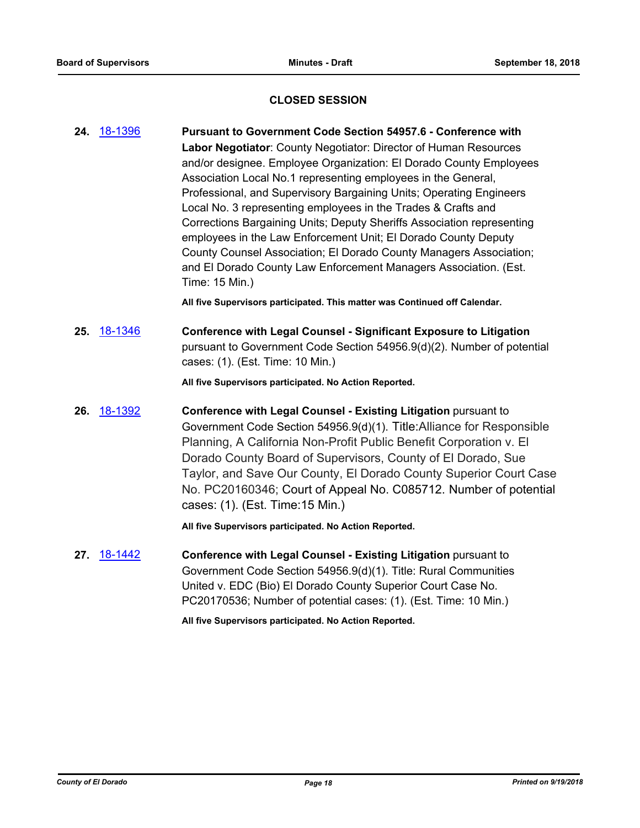#### **CLOSED SESSION**

- **24.** [18-1396](http://eldorado.legistar.com/gateway.aspx?m=l&id=/matter.aspx?key=24748) **Pursuant to Government Code Section 54957.6 Conference with Labor Negotiator**: County Negotiator: Director of Human Resources and/or designee. Employee Organization: El Dorado County Employees Association Local No.1 representing employees in the General, Professional, and Supervisory Bargaining Units; Operating Engineers Local No. 3 representing employees in the Trades & Crafts and Corrections Bargaining Units; Deputy Sheriffs Association representing employees in the Law Enforcement Unit; El Dorado County Deputy County Counsel Association; El Dorado County Managers Association; and El Dorado County Law Enforcement Managers Association. (Est. Time: 15 Min.) **All five Supervisors participated. This matter was Continued off Calendar.**
- **25.** [18-1346](http://eldorado.legistar.com/gateway.aspx?m=l&id=/matter.aspx?key=24697) **Conference with Legal Counsel Significant Exposure to Litigation** pursuant to Government Code Section 54956.9(d)(2). Number of potential cases: (1). (Est. Time: 10 Min.)

**All five Supervisors participated. No Action Reported.**

**26.** [18-1392](http://eldorado.legistar.com/gateway.aspx?m=l&id=/matter.aspx?key=24744) **Conference with Legal Counsel - Existing Litigation** pursuant to Government Code Section 54956.9(d)(1). Title:Alliance for Responsible Planning, A California Non-Profit Public Benefit Corporation v. El Dorado County Board of Supervisors, County of El Dorado, Sue Taylor, and Save Our County, El Dorado County Superior Court Case No. PC20160346; Court of Appeal No. C085712. Number of potential cases: (1). (Est. Time:15 Min.)

**All five Supervisors participated. No Action Reported.**

**27.** [18-1442](http://eldorado.legistar.com/gateway.aspx?m=l&id=/matter.aspx?key=24794) **Conference with Legal Counsel - Existing Litigation** pursuant to Government Code Section 54956.9(d)(1). Title: Rural Communities United v. EDC (Bio) El Dorado County Superior Court Case No. PC20170536; Number of potential cases: (1). (Est. Time: 10 Min.)

**All five Supervisors participated. No Action Reported.**